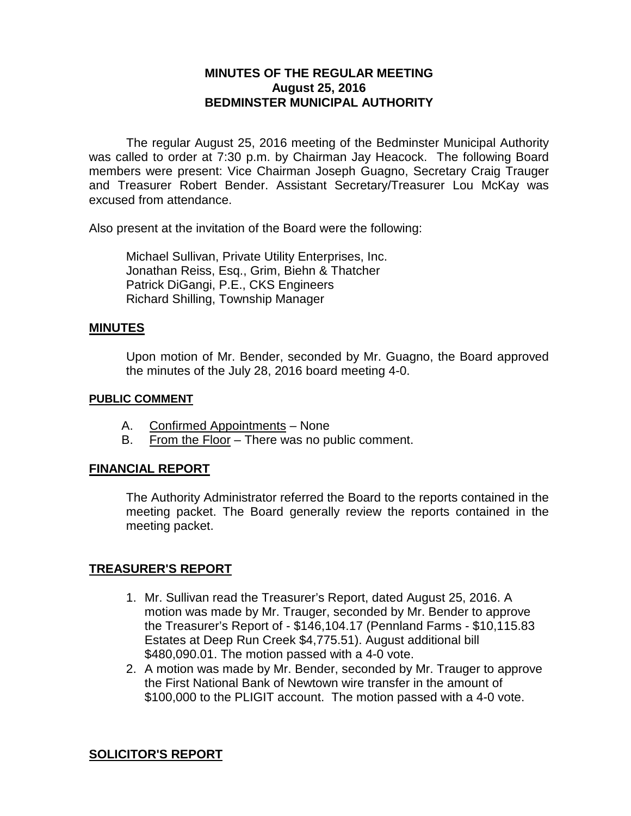# **MINUTES OF THE REGULAR MEETING August 25, 2016 BEDMINSTER MUNICIPAL AUTHORITY**

The regular August 25, 2016 meeting of the Bedminster Municipal Authority was called to order at 7:30 p.m. by Chairman Jay Heacock. The following Board members were present: Vice Chairman Joseph Guagno, Secretary Craig Trauger and Treasurer Robert Bender. Assistant Secretary/Treasurer Lou McKay was excused from attendance.

Also present at the invitation of the Board were the following:

Michael Sullivan, Private Utility Enterprises, Inc. Jonathan Reiss, Esq., Grim, Biehn & Thatcher Patrick DiGangi, P.E., CKS Engineers Richard Shilling, Township Manager

#### **MINUTES**

Upon motion of Mr. Bender, seconded by Mr. Guagno, the Board approved the minutes of the July 28, 2016 board meeting 4-0.

#### **PUBLIC COMMENT**

- A. Confirmed Appointments None
- B. From the Floor There was no public comment.

#### **FINANCIAL REPORT**

The Authority Administrator referred the Board to the reports contained in the meeting packet. The Board generally review the reports contained in the meeting packet.

### **TREASURER'S REPORT**

- 1. Mr. Sullivan read the Treasurer's Report, dated August 25, 2016. A motion was made by Mr. Trauger, seconded by Mr. Bender to approve the Treasurer's Report of - \$146,104.17 (Pennland Farms - \$10,115.83 Estates at Deep Run Creek \$4,775.51). August additional bill \$480,090.01. The motion passed with a 4-0 vote.
- 2. A motion was made by Mr. Bender, seconded by Mr. Trauger to approve the First National Bank of Newtown wire transfer in the amount of \$100,000 to the PLIGIT account. The motion passed with a 4-0 vote.

**SOLICITOR'S REPORT**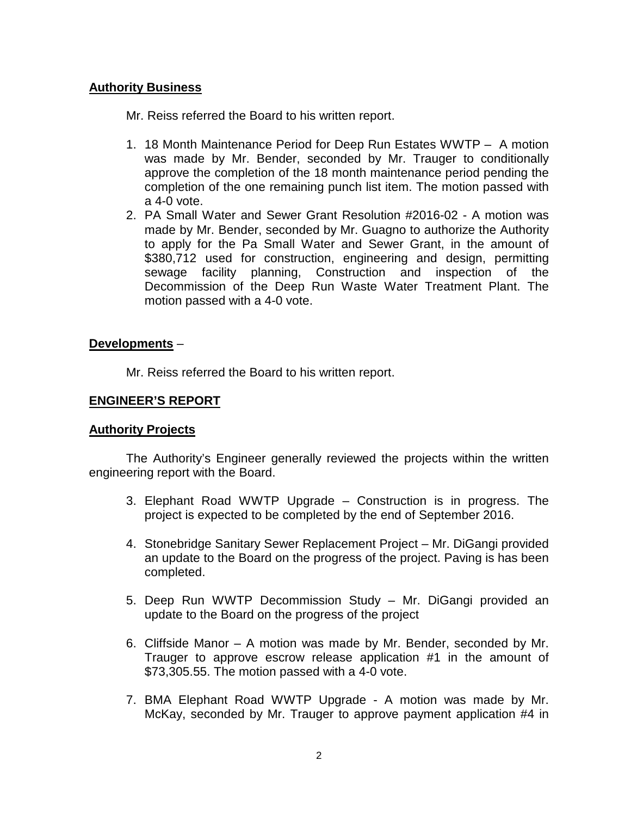### **Authority Business**

Mr. Reiss referred the Board to his written report.

- 1. 18 Month Maintenance Period for Deep Run Estates WWTP A motion was made by Mr. Bender, seconded by Mr. Trauger to conditionally approve the completion of the 18 month maintenance period pending the completion of the one remaining punch list item. The motion passed with a 4-0 vote.
- 2. PA Small Water and Sewer Grant Resolution #2016-02 A motion was made by Mr. Bender, seconded by Mr. Guagno to authorize the Authority to apply for the Pa Small Water and Sewer Grant, in the amount of \$380,712 used for construction, engineering and design, permitting sewage facility planning, Construction and inspection of the Decommission of the Deep Run Waste Water Treatment Plant. The motion passed with a 4-0 vote.

### **Developments** –

Mr. Reiss referred the Board to his written report.

### **ENGINEER'S REPORT**

### **Authority Projects**

The Authority's Engineer generally reviewed the projects within the written engineering report with the Board.

- 3. Elephant Road WWTP Upgrade Construction is in progress. The project is expected to be completed by the end of September 2016.
- 4. Stonebridge Sanitary Sewer Replacement Project Mr. DiGangi provided an update to the Board on the progress of the project. Paving is has been completed.
- 5. Deep Run WWTP Decommission Study Mr. DiGangi provided an update to the Board on the progress of the project
- 6. Cliffside Manor A motion was made by Mr. Bender, seconded by Mr. Trauger to approve escrow release application #1 in the amount of \$73,305.55. The motion passed with a 4-0 vote.
- 7. BMA Elephant Road WWTP Upgrade A motion was made by Mr. McKay, seconded by Mr. Trauger to approve payment application #4 in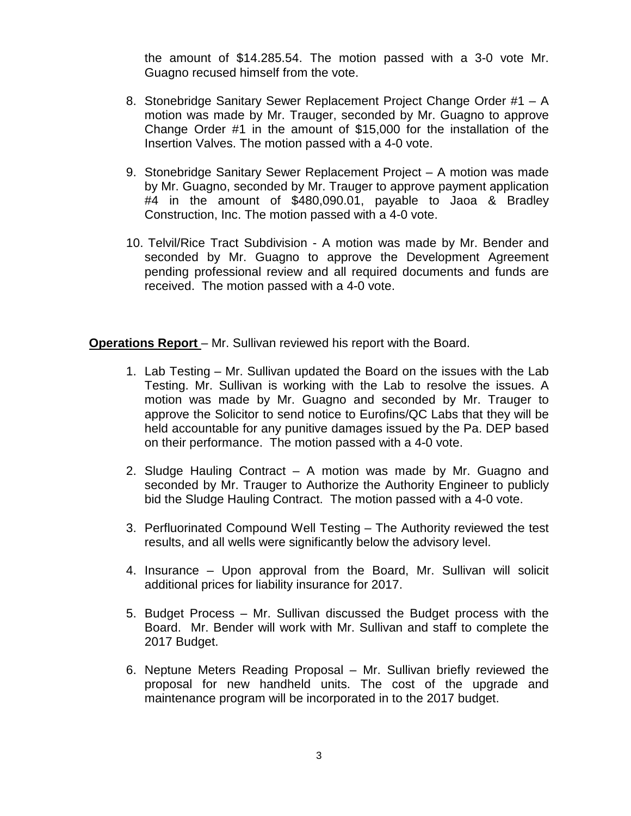the amount of \$14.285.54. The motion passed with a 3-0 vote Mr. Guagno recused himself from the vote.

- 8. Stonebridge Sanitary Sewer Replacement Project Change Order #1 A motion was made by Mr. Trauger, seconded by Mr. Guagno to approve Change Order #1 in the amount of \$15,000 for the installation of the Insertion Valves. The motion passed with a 4-0 vote.
- 9. Stonebridge Sanitary Sewer Replacement Project A motion was made by Mr. Guagno, seconded by Mr. Trauger to approve payment application #4 in the amount of \$480,090.01, payable to Jaoa & Bradley Construction, Inc. The motion passed with a 4-0 vote.
- 10. Telvil/Rice Tract Subdivision A motion was made by Mr. Bender and seconded by Mr. Guagno to approve the Development Agreement pending professional review and all required documents and funds are received. The motion passed with a 4-0 vote.

**Operations Report** – Mr. Sullivan reviewed his report with the Board.

- 1. Lab Testing Mr. Sullivan updated the Board on the issues with the Lab Testing. Mr. Sullivan is working with the Lab to resolve the issues. A motion was made by Mr. Guagno and seconded by Mr. Trauger to approve the Solicitor to send notice to Eurofins/QC Labs that they will be held accountable for any punitive damages issued by the Pa. DEP based on their performance. The motion passed with a 4-0 vote.
- 2. Sludge Hauling Contract A motion was made by Mr. Guagno and seconded by Mr. Trauger to Authorize the Authority Engineer to publicly bid the Sludge Hauling Contract. The motion passed with a 4-0 vote.
- 3. Perfluorinated Compound Well Testing The Authority reviewed the test results, and all wells were significantly below the advisory level.
- 4. Insurance Upon approval from the Board, Mr. Sullivan will solicit additional prices for liability insurance for 2017.
- 5. Budget Process Mr. Sullivan discussed the Budget process with the Board. Mr. Bender will work with Mr. Sullivan and staff to complete the 2017 Budget.
- 6. Neptune Meters Reading Proposal Mr. Sullivan briefly reviewed the proposal for new handheld units. The cost of the upgrade and maintenance program will be incorporated in to the 2017 budget.